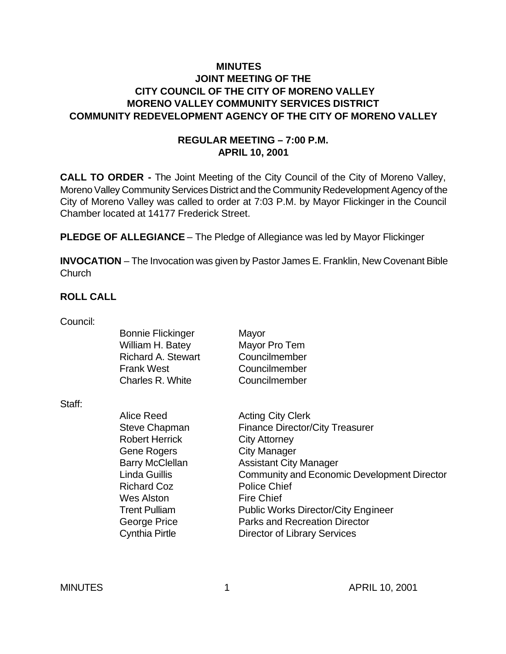### **MINUTES JOINT MEETING OF THE CITY COUNCIL OF THE CITY OF MORENO VALLEY MORENO VALLEY COMMUNITY SERVICES DISTRICT COMMUNITY REDEVELOPMENT AGENCY OF THE CITY OF MORENO VALLEY**

### **REGULAR MEETING – 7:00 P.M. APRIL 10, 2001**

**CALL TO ORDER -** The Joint Meeting of the City Council of the City of Moreno Valley, Moreno Valley Community Services District and the Community Redevelopment Agency of the City of Moreno Valley was called to order at 7:03 P.M. by Mayor Flickinger in the Council Chamber located at 14177 Frederick Street.

**PLEDGE OF ALLEGIANCE** – The Pledge of Allegiance was led by Mayor Flickinger

**INVOCATION** – The Invocation was given by Pastor James E. Franklin, New Covenant Bible **Church** 

### **ROLL CALL**

| Council: |                           |                                                    |
|----------|---------------------------|----------------------------------------------------|
|          | <b>Bonnie Flickinger</b>  | Mayor                                              |
|          | William H. Batey          | Mayor Pro Tem                                      |
|          | <b>Richard A. Stewart</b> | Councilmember                                      |
|          | <b>Frank West</b>         | Councilmember                                      |
|          | Charles R. White          | Councilmember                                      |
| Staff:   |                           |                                                    |
|          | Alice Reed                | <b>Acting City Clerk</b>                           |
|          | Steve Chapman             | <b>Finance Director/City Treasurer</b>             |
|          | <b>Robert Herrick</b>     | <b>City Attorney</b>                               |
|          | <b>Gene Rogers</b>        | City Manager                                       |
|          | <b>Barry McClellan</b>    | <b>Assistant City Manager</b>                      |
|          | Linda Guillis             | <b>Community and Economic Development Director</b> |
|          | <b>Richard Coz</b>        | <b>Police Chief</b>                                |
|          | Wes Alston                | <b>Fire Chief</b>                                  |
|          | <b>Trent Pulliam</b>      | <b>Public Works Director/City Engineer</b>         |
|          | George Price              | <b>Parks and Recreation Director</b>               |
|          | <b>Cynthia Pirtle</b>     | <b>Director of Library Services</b>                |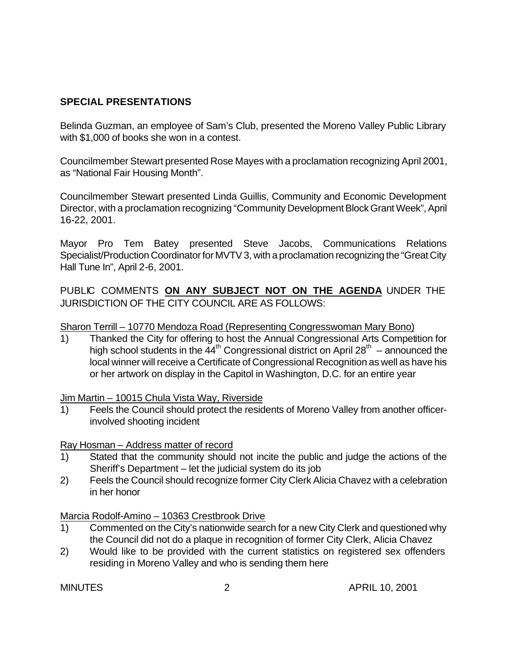## **SPECIAL PRESENTATIONS**

Belinda Guzman, an employee of Sam's Club, presented the Moreno Valley Public Library with \$1,000 of books she won in a contest.

Councilmember Stewart presented Rose Mayes with a proclamation recognizing April 2001, as "National Fair Housing Month".

Councilmember Stewart presented Linda Guillis, Community and Economic Development Director, with a proclamation recognizing "Community Development Block Grant Week", April 16-22, 2001.

Mayor Pro Tem Batey presented Steve Jacobs, Communications Relations Specialist/Production Coordinator for MVTV 3, with a proclamation recognizing the "Great City Hall Tune In", April 2-6, 2001.

PUBLIC COMMENTS **ON ANY SUBJECT NOT ON THE AGENDA** UNDER THE JURISDICTION OF THE CITY COUNCIL ARE AS FOLLOWS:

### Sharon Terrill – 10770 Mendoza Road (Representing Congresswoman Mary Bono)

1) Thanked the City for offering to host the Annual Congressional Arts Competition for high school students in the  $44^{\text{th}}$  Congressional district on April 28<sup>th</sup> – announced the local winner will receive a Certificate of Congressional Recognition as well as have his or her artwork on display in the Capitol in Washington, D.C. for an entire year

Jim Martin – 10015 Chula Vista Way, Riverside

1) Feels the Council should protect the residents of Moreno Valley from another officerinvolved shooting incident

Ray Hosman – Address matter of record

- 1) Stated that the community should not incite the public and judge the actions of the Sheriff's Department – let the judicial system do its job
- 2) Feels the Council should recognize former City Clerk Alicia Chavez with a celebration in her honor

Marcia Rodolf-Amino – 10363 Crestbrook Drive

- 1) Commented on the City's nationwide search for a new City Clerk and questioned why the Council did not do a plaque in recognition of former City Clerk, Alicia Chavez
- 2) Would like to be provided with the current statistics on registered sex offenders residing in Moreno Valley and who is sending them here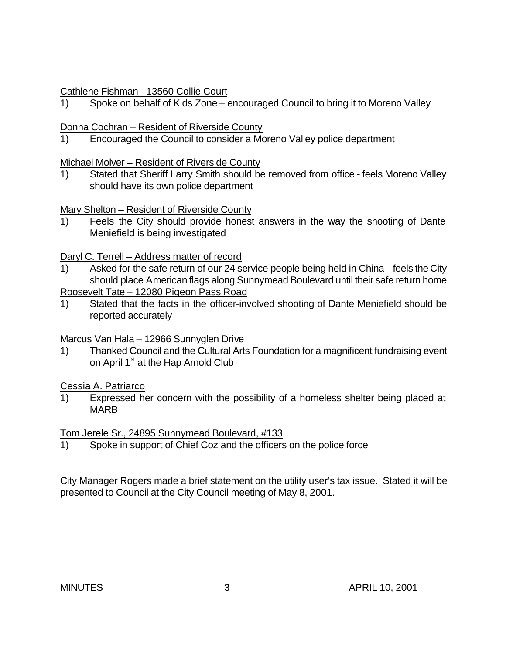### Cathlene Fishman –13560 Collie Court

1) Spoke on behalf of Kids Zone – encouraged Council to bring it to Moreno Valley

## Donna Cochran – Resident of Riverside County

1) Encouraged the Council to consider a Moreno Valley police department

### Michael Molver – Resident of Riverside County

1) Stated that Sheriff Larry Smith should be removed from office - feels Moreno Valley should have its own police department

Mary Shelton – Resident of Riverside County

1) Feels the City should provide honest answers in the way the shooting of Dante Meniefield is being investigated

## Daryl C. Terrell – Address matter of record

- 1) Asked for the safe return of our 24 service people being held in China feels the City should place American flags along Sunnymead Boulevard until their safe return home Roosevelt Tate – 12080 Pigeon Pass Road
- 1) Stated that the facts in the officer-involved shooting of Dante Meniefield should be reported accurately

Marcus Van Hala – 12966 Sunnyglen Drive

1) Thanked Council and the Cultural Arts Foundation for a magnificent fundraising event on April  $1^{\text{st}}$  at the Hap Arnold Club

# Cessia A. Patriarco

1) Expressed her concern with the possibility of a homeless shelter being placed at MARB

Tom Jerele Sr., 24895 Sunnymead Boulevard, #133

1) Spoke in support of Chief Coz and the officers on the police force

City Manager Rogers made a brief statement on the utility user's tax issue. Stated it will be presented to Council at the City Council meeting of May 8, 2001.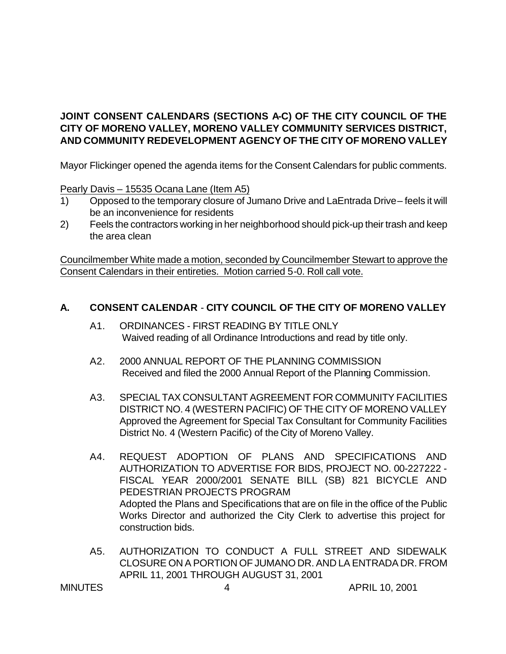## **JOINT CONSENT CALENDARS (SECTIONS A-C) OF THE CITY COUNCIL OF THE CITY OF MORENO VALLEY, MORENO VALLEY COMMUNITY SERVICES DISTRICT, AND COMMUNITY REDEVELOPMENT AGENCY OF THE CITY OF MORENO VALLEY**

Mayor Flickinger opened the agenda items for the Consent Calendars for public comments.

Pearly Davis – 15535 Ocana Lane (Item A5)

- 1) Opposed to the temporary closure of Jumano Drive and LaEntrada Drive feels it will be an inconvenience for residents
- 2) Feels the contractors working in her neighborhood should pick-up their trash and keep the area clean

Councilmember White made a motion, seconded by Councilmember Stewart to approve the Consent Calendars in their entireties. Motion carried 5-0. Roll call vote.

#### **A. CONSENT CALENDAR** - **CITY COUNCIL OF THE CITY OF MORENO VALLEY**

- A1. ORDINANCES FIRST READING BY TITLE ONLY Waived reading of all Ordinance Introductions and read by title only.
- A2. 2000 ANNUAL REPORT OF THE PLANNING COMMISSION Received and filed the 2000 Annual Report of the Planning Commission.
- A3. SPECIAL TAX CONSULTANT AGREEMENT FOR COMMUNITY FACILITIES DISTRICT NO. 4 (WESTERN PACIFIC) OF THE CITY OF MORENO VALLEY Approved the Agreement for Special Tax Consultant for Community Facilities District No. 4 (Western Pacific) of the City of Moreno Valley.
- A4. REQUEST ADOPTION OF PLANS AND SPECIFICATIONS AND AUTHORIZATION TO ADVERTISE FOR BIDS, PROJECT NO. 00-227222 - FISCAL YEAR 2000/2001 SENATE BILL (SB) 821 BICYCLE AND PEDESTRIAN PROJECTS PROGRAM Adopted the Plans and Specifications that are on file in the office of the Public Works Director and authorized the City Clerk to advertise this project for construction bids.
- A5. AUTHORIZATION TO CONDUCT A FULL STREET AND SIDEWALK CLOSURE ON A PORTION OF JUMANO DR. AND LA ENTRADA DR. FROM APRIL 11, 2001 THROUGH AUGUST 31, 2001

MINUTES 4 APRIL 10, 2001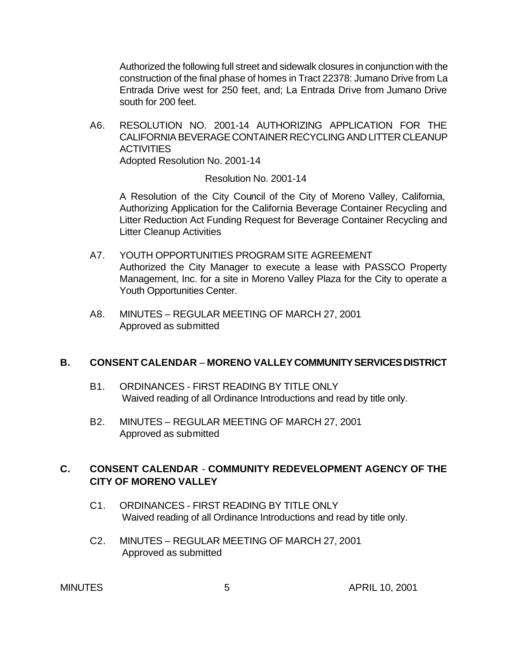Authorized the following full street and sidewalk closures in conjunction with the construction of the final phase of homes in Tract 22378: Jumano Drive from La Entrada Drive west for 250 feet, and; La Entrada Drive from Jumano Drive south for 200 feet.

A6. RESOLUTION NO. 2001-14 AUTHORIZING APPLICATION FOR THE CALIFORNIA BEVERAGE CONTAINER RECYCLING AND LITTER CLEANUP **ACTIVITIES** Adopted Resolution No. 2001-14

Resolution No. 2001-14

A Resolution of the City Council of the City of Moreno Valley, California, Authorizing Application for the California Beverage Container Recycling and Litter Reduction Act Funding Request for Beverage Container Recycling and Litter Cleanup Activities

- A7. YOUTH OPPORTUNITIES PROGRAM SITE AGREEMENT Authorized the City Manager to execute a lease with PASSCO Property Management, Inc. for a site in Moreno Valley Plaza for the City to operate a Youth Opportunities Center.
- A8. MINUTES REGULAR MEETING OF MARCH 27, 2001 Approved as submitted

#### **B. CONSENT CALENDAR** – **MORENO VALLEY COMMUNITY SERVICES DISTRICT**

- B1. ORDINANCES FIRST READING BY TITLE ONLY Waived reading of all Ordinance Introductions and read by title only.
- B2. MINUTES REGULAR MEETING OF MARCH 27, 2001 Approved as submitted

### **C. CONSENT CALENDAR** - **COMMUNITY REDEVELOPMENT AGENCY OF THE CITY OF MORENO VALLEY**

- C1. ORDINANCES FIRST READING BY TITLE ONLY Waived reading of all Ordinance Introductions and read by title only.
- C2. MINUTES REGULAR MEETING OF MARCH 27, 2001 Approved as submitted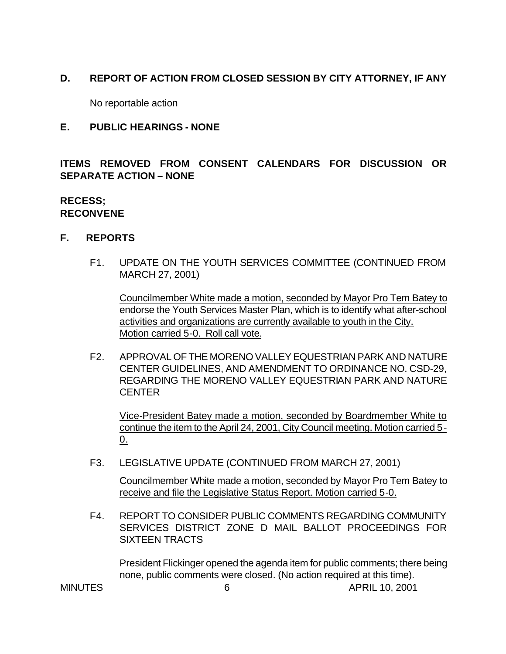## **D. REPORT OF ACTION FROM CLOSED SESSION BY CITY ATTORNEY, IF ANY**

No reportable action

#### **E. PUBLIC HEARINGS - NONE**

**ITEMS REMOVED FROM CONSENT CALENDARS FOR DISCUSSION OR SEPARATE ACTION – NONE**

#### **RECESS; RECONVENE**

#### **F. REPORTS**

F1. UPDATE ON THE YOUTH SERVICES COMMITTEE (CONTINUED FROM MARCH 27, 2001)

Councilmember White made a motion, seconded by Mayor Pro Tem Batey to endorse the Youth Services Master Plan, which is to identify what after-school activities and organizations are currently available to youth in the City. Motion carried 5-0. Roll call vote.

F2. APPROVAL OF THE MORENO VALLEY EQUESTRIAN PARK AND NATURE CENTER GUIDELINES, AND AMENDMENT TO ORDINANCE NO. CSD-29, REGARDING THE MORENO VALLEY EQUESTRIAN PARK AND NATURE CENTER

Vice-President Batey made a motion, seconded by Boardmember White to continue the item to the April 24, 2001, City Council meeting. Motion carried 5-  $Q_{\perp}$ 

F3. LEGISLATIVE UPDATE (CONTINUED FROM MARCH 27, 2001)

Councilmember White made a motion, seconded by Mayor Pro Tem Batey to receive and file the Legislative Status Report. Motion carried 5-0.

F4. REPORT TO CONSIDER PUBLIC COMMENTS REGARDING COMMUNITY SERVICES DISTRICT ZONE D MAIL BALLOT PROCEEDINGS FOR SIXTEEN TRACTS

President Flickinger opened the agenda item for public comments; there being none, public comments were closed. (No action required at this time).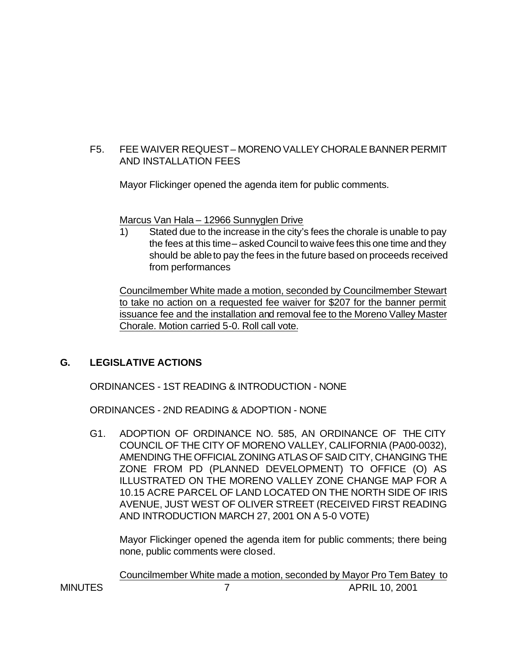### F5. FEE WAIVER REQUEST – MORENO VALLEY CHORALE BANNER PERMIT AND INSTALLATION FEES

Mayor Flickinger opened the agenda item for public comments.

Marcus Van Hala – 12966 Sunnyglen Drive

1) Stated due to the increase in the city's fees the chorale is unable to pay the fees at this time – asked Council to waive fees this one time and they should be able to pay the fees in the future based on proceeds received from performances

Councilmember White made a motion, seconded by Councilmember Stewart to take no action on a requested fee waiver for \$207 for the banner permit issuance fee and the installation and removal fee to the Moreno Valley Master Chorale. Motion carried 5-0. Roll call vote.

# **G. LEGISLATIVE ACTIONS**

ORDINANCES - 1ST READING & INTRODUCTION - NONE

ORDINANCES - 2ND READING & ADOPTION - NONE

G1. ADOPTION OF ORDINANCE NO. 585, AN ORDINANCE OF THE CITY COUNCIL OF THE CITY OF MORENO VALLEY, CALIFORNIA (PA00-0032), AMENDING THE OFFICIAL ZONING ATLAS OF SAID CITY, CHANGING THE ZONE FROM PD (PLANNED DEVELOPMENT) TO OFFICE (O) AS ILLUSTRATED ON THE MORENO VALLEY ZONE CHANGE MAP FOR A 10.15 ACRE PARCEL OF LAND LOCATED ON THE NORTH SIDE OF IRIS AVENUE, JUST WEST OF OLIVER STREET (RECEIVED FIRST READING AND INTRODUCTION MARCH 27, 2001 ON A 5-0 VOTE)

Mayor Flickinger opened the agenda item for public comments; there being none, public comments were closed.

MINUTES 7 APRIL 10, 2001 Councilmember White made a motion, seconded by Mayor Pro Tem Batey to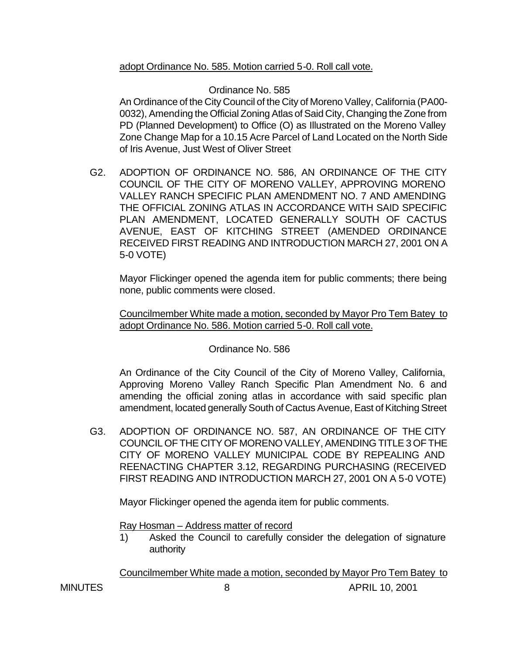### adopt Ordinance No. 585. Motion carried 5-0. Roll call vote.

### Ordinance No. 585

An Ordinance of the City Council of the City of Moreno Valley, California (PA00- 0032), Amending the Official Zoning Atlas of Said City, Changing the Zone from PD (Planned Development) to Office (O) as Illustrated on the Moreno Valley Zone Change Map for a 10.15 Acre Parcel of Land Located on the North Side of Iris Avenue, Just West of Oliver Street

G2. ADOPTION OF ORDINANCE NO. 586, AN ORDINANCE OF THE CITY COUNCIL OF THE CITY OF MORENO VALLEY, APPROVING MORENO VALLEY RANCH SPECIFIC PLAN AMENDMENT NO. 7 AND AMENDING THE OFFICIAL ZONING ATLAS IN ACCORDANCE WITH SAID SPECIFIC PLAN AMENDMENT, LOCATED GENERALLY SOUTH OF CACTUS AVENUE, EAST OF KITCHING STREET (AMENDED ORDINANCE RECEIVED FIRST READING AND INTRODUCTION MARCH 27, 2001 ON A 5-0 VOTE)

Mayor Flickinger opened the agenda item for public comments; there being none, public comments were closed.

Councilmember White made a motion, seconded by Mayor Pro Tem Batey to adopt Ordinance No. 586. Motion carried 5-0. Roll call vote.

#### Ordinance No. 586

An Ordinance of the City Council of the City of Moreno Valley, California, Approving Moreno Valley Ranch Specific Plan Amendment No. 6 and amending the official zoning atlas in accordance with said specific plan amendment, located generally South of Cactus Avenue, East of Kitching Street

G3. ADOPTION OF ORDINANCE NO. 587, AN ORDINANCE OF THE CITY COUNCIL OF THE CITY OF MORENO VALLEY, AMENDING TITLE 3 OF THE CITY OF MORENO VALLEY MUNICIPAL CODE BY REPEALING AND REENACTING CHAPTER 3.12, REGARDING PURCHASING (RECEIVED FIRST READING AND INTRODUCTION MARCH 27, 2001 ON A 5-0 VOTE)

Mayor Flickinger opened the agenda item for public comments.

Ray Hosman – Address matter of record

1) Asked the Council to carefully consider the delegation of signature authority

Councilmember White made a motion, seconded by Mayor Pro Tem Batey to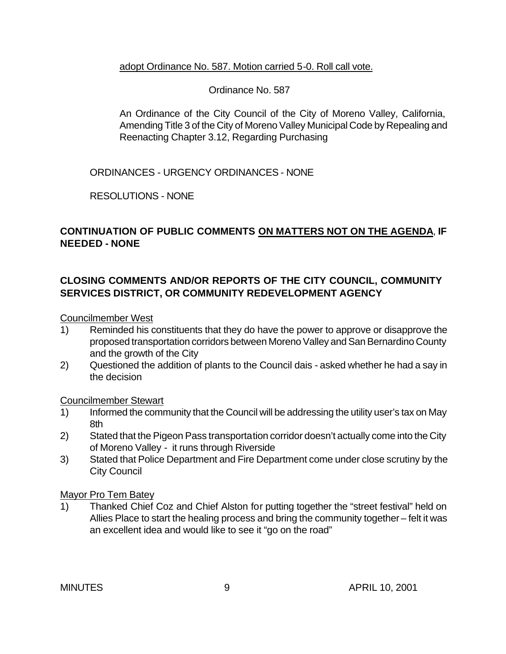#### adopt Ordinance No. 587. Motion carried 5-0. Roll call vote.

### Ordinance No. 587

An Ordinance of the City Council of the City of Moreno Valley, California, Amending Title 3 of the City of Moreno Valley Municipal Code by Repealing and Reenacting Chapter 3.12, Regarding Purchasing

ORDINANCES - URGENCY ORDINANCES - NONE

RESOLUTIONS - NONE

### **CONTINUATION OF PUBLIC COMMENTS ON MATTERS NOT ON THE AGENDA**, **IF NEEDED - NONE**

## **CLOSING COMMENTS AND/OR REPORTS OF THE CITY COUNCIL, COMMUNITY SERVICES DISTRICT, OR COMMUNITY REDEVELOPMENT AGENCY**

Councilmember West

- 1) Reminded his constituents that they do have the power to approve or disapprove the proposed transportation corridors between Moreno Valley and San Bernardino County and the growth of the City
- 2) Questioned the addition of plants to the Council dais asked whether he had a say in the decision

#### Councilmember Stewart

- 1) Informed the community that the Council will be addressing the utility user's tax on May 8th
- 2) Stated that the Pigeon Pass transportation corridor doesn't actually come into the City of Moreno Valley - it runs through Riverside
- 3) Stated that Police Department and Fire Department come under close scrutiny by the City Council

#### Mayor Pro Tem Batey

1) Thanked Chief Coz and Chief Alston for putting together the "street festival" held on Allies Place to start the healing process and bring the community together – felt it was an excellent idea and would like to see it "go on the road"